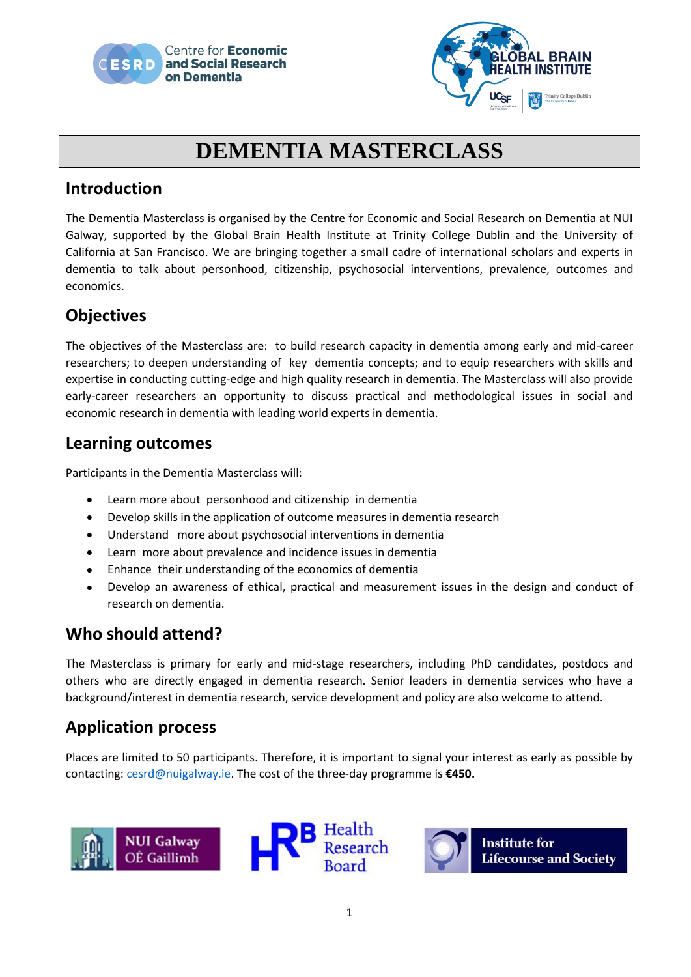



## **DEMENTIA MASTERCLASS**

#### **Introduction**

The Dementia Masterclass is organised by the Centre for Economic and Social Research on Dementia at NUI Galway, supported by the Global Brain Health Institute at Trinity College Dublin and the University of California at San Francisco. We are bringing together a small cadre of international scholars and experts in dementia to talk about personhood, citizenship, psychosocial interventions, prevalence, outcomes and economics.

## **Objectives**

The objectives of the Masterclass are: to build research capacity in dementia among early and mid-career researchers; to deepen understanding of key dementia concepts; and to equip researchers with skills and expertise in conducting cutting-edge and high quality research in dementia. The Masterclass will also provide early-career researchers an opportunity to discuss practical and methodological issues in social and economic research in dementia with leading world experts in dementia.

#### **Learning outcomes**

Participants in the Dementia Masterclass will:

- Learn more about personhood and citizenship in dementia  $\bullet$
- Develop skills in the application of outcome measures in dementia research  $\bullet$
- Understand more about psychosocial interventions in dementia
- Learn more about prevalence and incidence issues in dementia
- $\bullet$ Enhance their understanding of the economics of dementia
- Develop an awareness of ethical, practical and measurement issues in the design and conduct of  $\bullet$ research on dementia.

### **Who should attend?**

The Masterclass is primary for early and mid-stage researchers, including PhD candidates, postdocs and others who are directly engaged in dementia research. Senior leaders in dementia services who have a background/interest in dementia research, service development and policy are also welcome to attend.

### **Application process**

Places are limited to 50 participants. Therefore, it is important to signal your interest as early as possible by contacting: [cesrd@nuigalway.ie.](mailto:cesrd@nuigalway.ie) The cost of the three-day programme is **€450.**





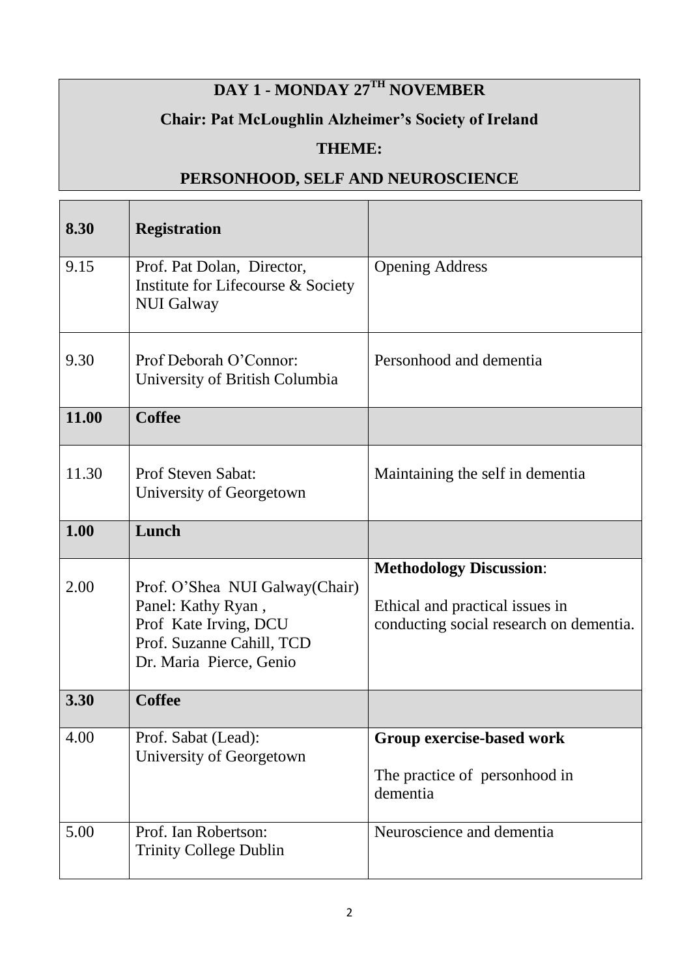# **DAY 1 - MONDAY 27TH NOVEMBER**

## **Chair: Pat McLoughlin Alzheimer's Society of Ireland**

### **THEME:**

## **PERSONHOOD, SELF AND NEUROSCIENCE**

| 8.30  | <b>Registration</b>                                                                                                                    |                                                                                                              |
|-------|----------------------------------------------------------------------------------------------------------------------------------------|--------------------------------------------------------------------------------------------------------------|
| 9.15  | Prof. Pat Dolan, Director,<br>Institute for Lifecourse & Society<br><b>NUI Galway</b>                                                  | <b>Opening Address</b>                                                                                       |
| 9.30  | Prof Deborah O'Connor:<br>University of British Columbia                                                                               | Personhood and dementia                                                                                      |
| 11.00 | <b>Coffee</b>                                                                                                                          |                                                                                                              |
| 11.30 | Prof Steven Sabat:<br>University of Georgetown                                                                                         | Maintaining the self in dementia                                                                             |
| 1.00  | Lunch                                                                                                                                  |                                                                                                              |
| 2.00  | Prof. O'Shea NUI Galway (Chair)<br>Panel: Kathy Ryan,<br>Prof Kate Irving, DCU<br>Prof. Suzanne Cahill, TCD<br>Dr. Maria Pierce, Genio | <b>Methodology Discussion:</b><br>Ethical and practical issues in<br>conducting social research on dementia. |
| 3.30  | <b>Coffee</b>                                                                                                                          |                                                                                                              |
| 4.00  | Prof. Sabat (Lead):<br>University of Georgetown                                                                                        | Group exercise-based work<br>The practice of personhood in<br>dementia                                       |
| 5.00  | Prof. Ian Robertson:<br><b>Trinity College Dublin</b>                                                                                  | Neuroscience and dementia                                                                                    |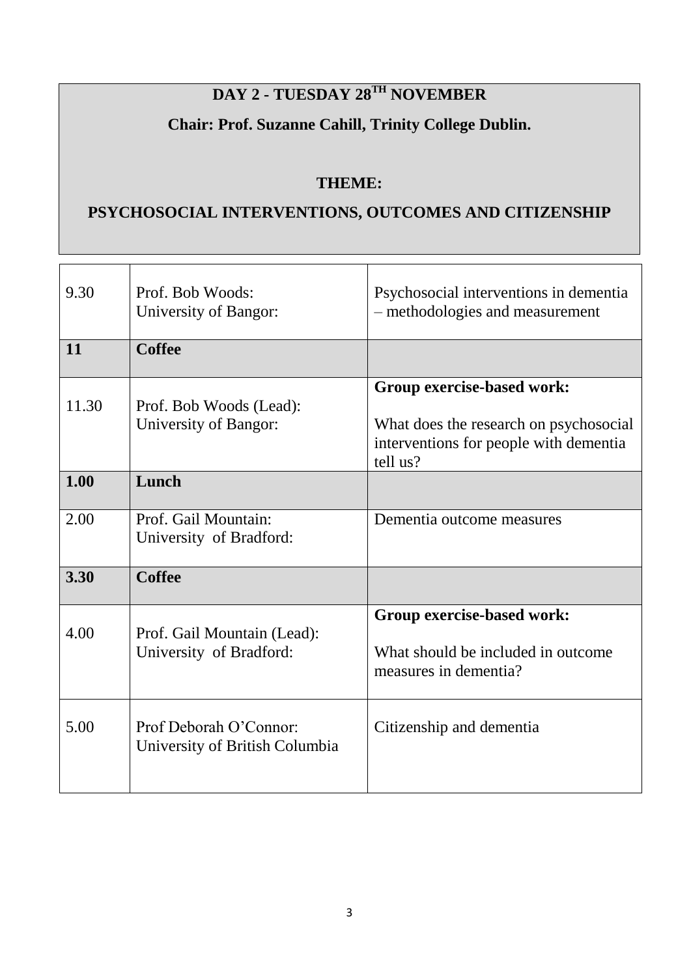# **DAY 2 - TUESDAY 28TH NOVEMBER**

## **Chair: Prof. Suzanne Cahill, Trinity College Dublin.**

#### **THEME:**

## **PSYCHOSOCIAL INTERVENTIONS, OUTCOMES AND CITIZENSHIP**

| 9.30  | Prof. Bob Woods:<br>University of Bangor:                | Psychosocial interventions in dementia<br>- methodologies and measurement                                                  |
|-------|----------------------------------------------------------|----------------------------------------------------------------------------------------------------------------------------|
| 11    | <b>Coffee</b>                                            |                                                                                                                            |
| 11.30 | Prof. Bob Woods (Lead):<br>University of Bangor:         | Group exercise-based work:<br>What does the research on psychosocial<br>interventions for people with dementia<br>tell us? |
| 1.00  | Lunch                                                    |                                                                                                                            |
| 2.00  | Prof. Gail Mountain:<br>University of Bradford:          | Dementia outcome measures                                                                                                  |
| 3.30  | <b>Coffee</b>                                            |                                                                                                                            |
| 4.00  | Prof. Gail Mountain (Lead):<br>University of Bradford:   | Group exercise-based work:<br>What should be included in outcome<br>measures in dementia?                                  |
| 5.00  | Prof Deborah O'Connor:<br>University of British Columbia | Citizenship and dementia                                                                                                   |